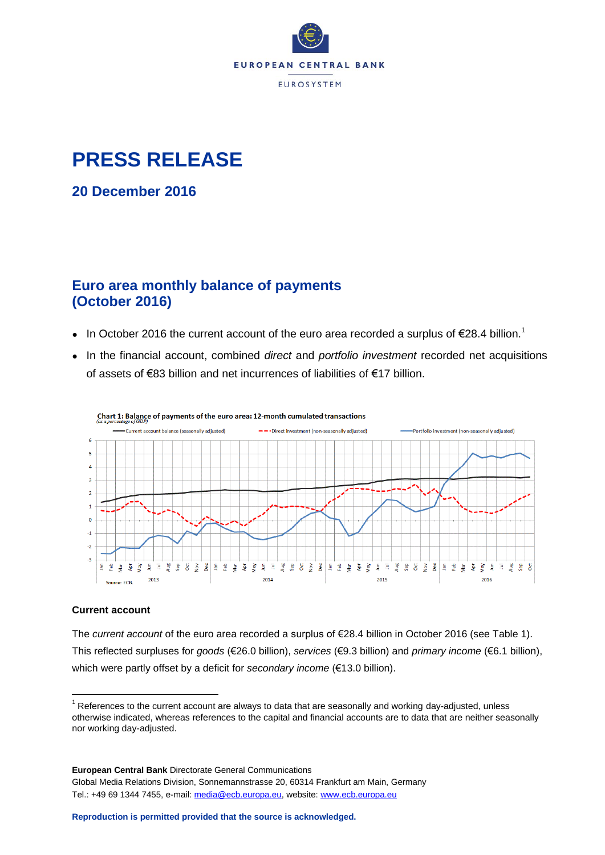

### **PRESS RELEASE**

**20 December 2016**

### **Euro area monthly balance of payments (October 2016)**

- In October 2016 the current account of the euro area recorded a surplus of  $\epsilon$ 28.4 billion.<sup>1</sup>
- In the financial account, combined *direct* and *portfolio investment* recorded net acquisitions of assets of €83 billion and net incurrences of liabilities of €17 billion.



#### Chart 1: Balance of payments of the euro area: 12-month cumulated transactions

#### **Current account**

 $\overline{a}$ 

The *current account* of the euro area recorded a surplus of €28.4 billion in October 2016 (see Table 1). This reflected surpluses for *goods* (€26.0 billion), *services* (€9.3 billion) and *primary income* (€6.1 billion), which were partly offset by a deficit for *secondary income* (€13.0 billion).

 $1$  References to the current account are always to data that are seasonally and working day-adjusted, unless otherwise indicated, whereas references to the capital and financial accounts are to data that are neither seasonally nor working day-adjusted.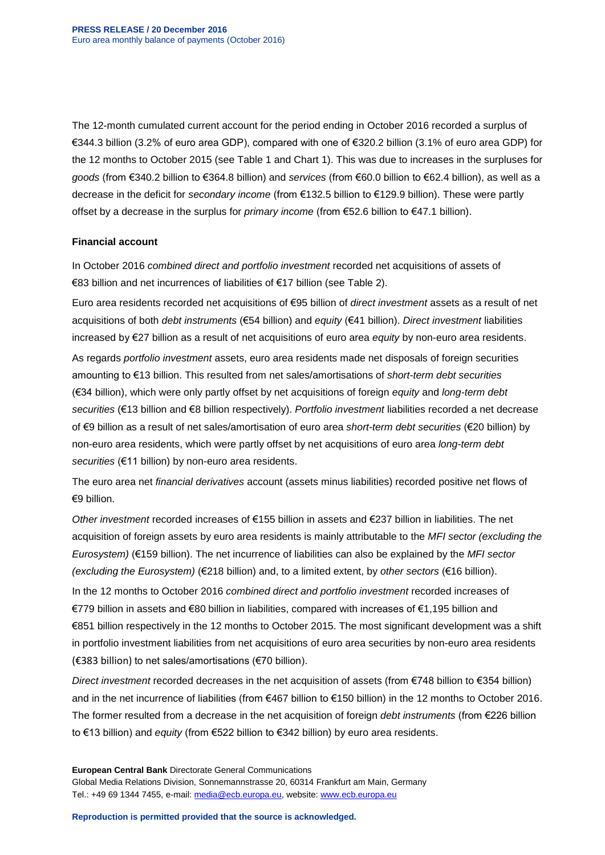The 12-month cumulated current account for the period ending in October 2016 recorded a surplus of €344.3 billion (3.2% of euro area GDP), compared with one of €320.2 billion (3.1% of euro area GDP) for the 12 months to October 2015 (see Table 1 and Chart 1). This was due to increases in the surpluses for *goods* (from €340.2 billion to €364.8 billion) and *services* (from €60.0 billion to €62.4 billion), as well as a decrease in the deficit for *secondary income* (from €132.5 billion to €129.9 billion). These were partly offset by a decrease in the surplus for *primary income* (from €52.6 billion to €47.1 billion).

#### **Financial account**

In October 2016 *combined direct and portfolio investment* recorded net acquisitions of assets of €83 billion and net incurrences of liabilities of €17 billion (see Table 2).

Euro area residents recorded net acquisitions of €95 billion of *direct investment* assets as a result of net acquisitions of both *debt instruments* (€54 billion) and *equity* (€41 billion). *Direct investment* liabilities increased by €27 billion as a result of net acquisitions of euro area *equity* by non-euro area residents.

As regards *portfolio investment* assets, euro area residents made net disposals of foreign securities amounting to €13 billion. This resulted from net sales/amortisations of *short-term debt securities* (€34 billion), which were only partly offset by net acquisitions of foreign *equity* and *long-term debt securities* (€13 billion and €8 billion respectively). *Portfolio investment* liabilities recorded a net decrease of €9 billion as a result of net sales/amortisation of euro area *short-term debt securities* (€20 billion) by non-euro area residents, which were partly offset by net acquisitions of euro area *long-term debt securities* (€11 billion) by non-euro area residents.

The euro area net *financial derivatives* account (assets minus liabilities) recorded positive net flows of €9 billion.

*Other investment* recorded increases of €155 billion in assets and €237 billion in liabilities. The net acquisition of foreign assets by euro area residents is mainly attributable to the *MFI sector (excluding the Eurosystem)* (€159 billion). The net incurrence of liabilities can also be explained by the *MFI sector (excluding the Eurosystem)* (€218 billion) and, to a limited extent, by *other sectors* (€16 billion).

In the 12 months to October 2016 *combined direct and portfolio investment* recorded increases of €779 billion in assets and €80 billion in liabilities, compared with increases of €1,195 billion and €851 billion respectively in the 12 months to October 2015. The most significant development was a shift in portfolio investment liabilities from net acquisitions of euro area securities by non-euro area residents (€383 billion) to net sales/amortisations (€70 billion).

*Direct investment* recorded decreases in the net acquisition of assets (from €748 billion to €354 billion) and in the net incurrence of liabilities (from €467 billion to €150 billion) in the 12 months to October 2016. The former resulted from a decrease in the net acquisition of foreign *debt instruments* (from €226 billion to €13 billion) and *equity* (from €522 billion to €342 billion) by euro area residents.

**European Central Bank** Directorate General Communications Global Media Relations Division, Sonnemannstrasse 20, 60314 Frankfurt am Main, Germany Tel.: +49 69 1344 7455, e-mail: [media@ecb.europa.eu,](mailto:media@ecb.europa.eu) website[: www.ecb.europa.eu](http://www.ecb.europa.eu/)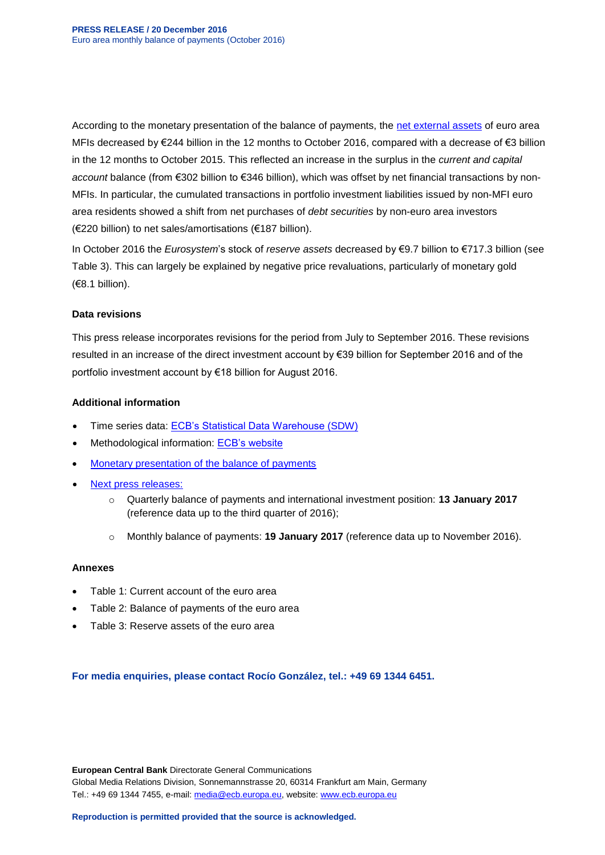According to the monetary presentation of the balance of payments, the [net external assets](http://sdw.ecb.europa.eu/reports.do?node=10000066) of euro area MFIs decreased by €244 billion in the 12 months to October 2016, compared with a decrease of €3 billion in the 12 months to October 2015. This reflected an increase in the surplus in the *current and capital account* balance (from €302 billion to €346 billion), which was offset by net financial transactions by non-MFIs. In particular, the cumulated transactions in portfolio investment liabilities issued by non-MFI euro area residents showed a shift from net purchases of *debt securities* by non-euro area investors (€220 billion) to net sales/amortisations (€187 billion).

In October 2016 the *Eurosystem*'s stock of *reserve assets* decreased by €9.7 billion to €717.3 billion (see Table 3). This can largely be explained by negative price revaluations, particularly of monetary gold (€8.1 billion).

#### **Data revisions**

This press release incorporates revisions for the period from July to September 2016. These revisions resulted in an increase of the direct investment account by €39 billion for September 2016 and of the portfolio investment account by €18 billion for August 2016.

#### **Additional information**

- Time series data: [ECB's Statistical Data Warehouse \(SDW\)](http://sdw.ecb.europa.eu/browse.do?node=9691138)
- Methodological information: [ECB's website](http://www.ecb.europa.eu/stats/external/balance/html/index.en.html)
- [Monetary presentation of the balance of payments](http://sdw.ecb.europa.eu/reports.do?node=10000066)
- [Next press releases:](https://www.ecb.europa.eu/press/calendars/statscal/ext/html/stprbp.en.html)
	- o Quarterly balance of payments and international investment position: **13 January 2017** (reference data up to the third quarter of 2016);
	- o Monthly balance of payments: **19 January 2017** (reference data up to November 2016).

#### **Annexes**

- Table 1: Current account of the euro area
- Table 2: Balance of payments of the euro area
- Table 3: Reserve assets of the euro area

**For media enquiries, please contact Rocío González, tel.: +49 69 1344 6451.**

**European Central Bank** Directorate General Communications Global Media Relations Division, Sonnemannstrasse 20, 60314 Frankfurt am Main, Germany Tel.: +49 69 1344 7455, e-mail: [media@ecb.europa.eu,](mailto:media@ecb.europa.eu) website[: www.ecb.europa.eu](http://www.ecb.europa.eu/)

**Reproduction is permitted provided that the source is acknowledged.**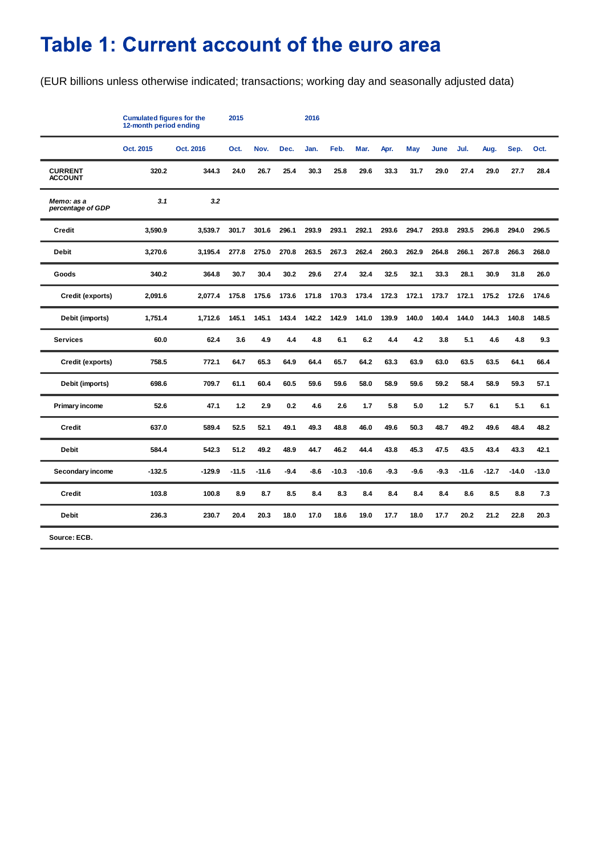# Table 1: Current account of the euro area

(EUR billions unless otherwise indicated; transactions; working day and seasonally adjusted data)

|                                  | <b>Cumulated figures for the</b><br>12-month period ending |           | 2015    |         |        | 2016   |         |         |        |        |        |         |         |         |         |
|----------------------------------|------------------------------------------------------------|-----------|---------|---------|--------|--------|---------|---------|--------|--------|--------|---------|---------|---------|---------|
|                                  | Oct. 2015                                                  | Oct. 2016 | Oct.    | Nov.    | Dec.   | Jan.   | Feb.    | Mar.    | Apr.   | May    | June   | Jul.    | Aug.    | Sep.    | Oct.    |
| <b>CURRENT</b><br><b>ACCOUNT</b> | 320.2                                                      | 344.3     | 24.0    | 26.7    | 25.4   | 30.3   | 25.8    | 29.6    | 33.3   | 31.7   | 29.0   | 27.4    | 29.0    | 27.7    | 28.4    |
| Memo: as a<br>percentage of GDP  | 3.1                                                        | 3.2       |         |         |        |        |         |         |        |        |        |         |         |         |         |
| <b>Credit</b>                    | 3,590.9                                                    | 3,539.7   | 301.7   | 301.6   | 296.1  | 293.9  | 293.1   | 292.1   | 293.6  | 294.7  | 293.8  | 293.5   | 296.8   | 294.0   | 296.5   |
| <b>Debit</b>                     | 3,270.6                                                    | 3,195.4   | 277.8   | 275.0   | 270.8  | 263.5  | 267.3   | 262.4   | 260.3  | 262.9  | 264.8  | 266.1   | 267.8   | 266.3   | 268.0   |
| Goods                            | 340.2                                                      | 364.8     | 30.7    | 30.4    | 30.2   | 29.6   | 27.4    | 32.4    | 32.5   | 32.1   | 33.3   | 28.1    | 30.9    | 31.8    | 26.0    |
| Credit (exports)                 | 2,091.6                                                    | 2,077.4   | 175.8   | 175.6   | 173.6  | 171.8  | 170.3   | 173.4   | 172.3  | 172.1  | 173.7  | 172.1   | 175.2   | 172.6   | 174.6   |
| Debit (imports)                  | 1,751.4                                                    | 1,712.6   | 145.1   | 145.1   | 143.4  | 142.2  | 142.9   | 141.0   | 139.9  | 140.0  | 140.4  | 144.0   | 144.3   | 140.8   | 148.5   |
| <b>Services</b>                  | 60.0                                                       | 62.4      | 3.6     | 4.9     | 4.4    | 4.8    | 6.1     | 6.2     | 4.4    | 4.2    | 3.8    | 5.1     | 4.6     | 4.8     | 9.3     |
| Credit (exports)                 | 758.5                                                      | 772.1     | 64.7    | 65.3    | 64.9   | 64.4   | 65.7    | 64.2    | 63.3   | 63.9   | 63.0   | 63.5    | 63.5    | 64.1    | 66.4    |
| Debit (imports)                  | 698.6                                                      | 709.7     | 61.1    | 60.4    | 60.5   | 59.6   | 59.6    | 58.0    | 58.9   | 59.6   | 59.2   | 58.4    | 58.9    | 59.3    | 57.1    |
| <b>Primary income</b>            | 52.6                                                       | 47.1      | 1.2     | 2.9     | 0.2    | 4.6    | 2.6     | 1.7     | 5.8    | 5.0    | $1.2$  | 5.7     | 6.1     | 5.1     | 6.1     |
| <b>Credit</b>                    | 637.0                                                      | 589.4     | 52.5    | 52.1    | 49.1   | 49.3   | 48.8    | 46.0    | 49.6   | 50.3   | 48.7   | 49.2    | 49.6    | 48.4    | 48.2    |
| Debit                            | 584.4                                                      | 542.3     | 51.2    | 49.2    | 48.9   | 44.7   | 46.2    | 44.4    | 43.8   | 45.3   | 47.5   | 43.5    | 43.4    | 43.3    | 42.1    |
| Secondary income                 | $-132.5$                                                   | $-129.9$  | $-11.5$ | $-11.6$ | $-9.4$ | $-8.6$ | $-10.3$ | $-10.6$ | $-9.3$ | $-9.6$ | $-9.3$ | $-11.6$ | $-12.7$ | $-14.0$ | $-13.0$ |
| <b>Credit</b>                    | 103.8                                                      | 100.8     | 8.9     | 8.7     | 8.5    | 8.4    | 8.3     | 8.4     | 8.4    | 8.4    | 8.4    | 8.6     | 8.5     | 8.8     | 7.3     |
| <b>Debit</b>                     | 236.3                                                      | 230.7     | 20.4    | 20.3    | 18.0   | 17.0   | 18.6    | 19.0    | 17.7   | 18.0   | 17.7   | 20.2    | 21.2    | 22.8    | 20.3    |
| Source: ECB.                     |                                                            |           |         |         |        |        |         |         |        |        |        |         |         |         |         |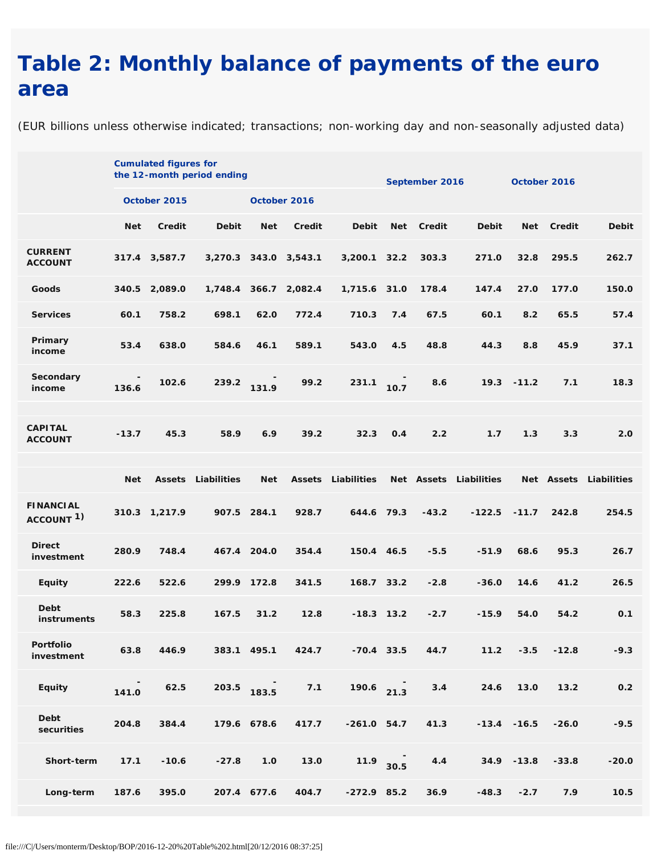## **Table 2: Monthly balance of payments of the euro area**

(EUR billions unless otherwise indicated; transactions; non-working day and non-seasonally adjusted data)

|                                           |            | <b>Cumulated figures for</b> | the 12-month period ending |             |                       |               | September 2016 |            | October 2016 |                |         |                        |  |
|-------------------------------------------|------------|------------------------------|----------------------------|-------------|-----------------------|---------------|----------------|------------|--------------|----------------|---------|------------------------|--|
|                                           |            | October 2015                 |                            |             | October 2016          |               |                |            |              |                |         |                        |  |
|                                           | <b>Net</b> | <b>Credit</b>                | <b>Debit</b>               | <b>Net</b>  | Credit                | <b>Debit</b>  | <b>Net</b>     | Credit     | <b>Debit</b> | <b>Net</b>     | Credit  | <b>Debit</b>           |  |
| <b>CURRENT</b><br><b>ACCOUNT</b>          |            | 317.4 3,587.7                |                            |             | 3,270.3 343.0 3,543.1 | 3,200.1       | 32.2           | 303.3      | 271.0        | 32.8           | 295.5   | 262.7                  |  |
| Goods                                     | 340.5      | 2,089.0                      | 1,748.4                    | 366.7       | 2,082.4               | 1,715.6 31.0  |                | 178.4      | 147.4        | 27.0           | 177.0   | 150.0                  |  |
| <b>Services</b>                           | 60.1       | 758.2                        | 698.1                      | 62.0        | 772.4                 | 710.3         | 7.4            | 67.5       | 60.1         | 8.2            | 65.5    | 57.4                   |  |
| Primary<br>income                         | 53.4       | 638.0                        | 584.6                      | 46.1        | 589.1                 | 543.0         | 4.5            | 48.8       | 44.3         | 8.8            | 45.9    | 37.1                   |  |
| Secondary<br>income                       | 136.6      | 102.6                        | 239.2                      | 131.9       | 99.2                  | 231.1         | 10.7           | 8.6        | 19.3         | $-11.2$        | 7.1     | 18.3                   |  |
| <b>CAPITAL</b><br><b>ACCOUNT</b>          | $-13.7$    | 45.3                         | 58.9                       | 6.9         | 39.2                  | 32.3          | O.4            | 2.2        | 1.7          | 1.3            | 3.3     | 2.0                    |  |
|                                           | <b>Net</b> | <b>Assets</b>                | Liabilities                | <b>Net</b>  | <b>Assets</b>         | Liabilities   |                | Net Assets | Liabilities  |                |         | Net Assets Liabilities |  |
| <b>FINANCIAL</b><br>ACCOUNT <sup>1)</sup> |            | 310.3 1,217.9                |                            | 907.5 284.1 | 928.7                 | 644.6         | 79.3           | $-43.2$    | $-122.5$     | $-11.7$        | 242.8   | 254.5                  |  |
| <b>Direct</b><br>investment               | 280.9      | 748.4                        |                            | 467.4 204.0 | 354.4                 | 150.4 46.5    |                | $-5.5$     | $-51.9$      | 68.6           | 95.3    | 26.7                   |  |
| <b>Equity</b>                             | 222.6      | 522.6                        |                            | 299.9 172.8 | 341.5                 | 168.7 33.2    |                | $-2.8$     | $-36.0$      | 14.6           | 41.2    | 26.5                   |  |
| <b>Debt</b><br>instruments                | 58.3       | 225.8                        | 167.5                      | 31.2        | 12.8                  |               | $-18.3$ 13.2   | $-2.7$     | $-15.9$      | 54.0           | 54.2    | 0.1                    |  |
| Portfolio<br>investment                   | 63.8       | 446.9                        |                            | 383.1 495.1 | 424.7                 | $-70.4$ 33.5  |                | 44.7       | 11.2         | $-3.5$         | $-12.8$ | $-9.3$                 |  |
| <b>Equity</b>                             | 141.0      | 62.5                         | 203.5                      | 183.5       | $7.1$                 | $190.6$ 21.3  |                | 3.4        | 24.6         | 13.0           | 13.2    | $0.2\,$                |  |
| Debt<br>securities                        | 204.8      | 384.4                        |                            | 179.6 678.6 | 417.7                 | $-261.0$ 54.7 |                | 41.3       |              | $-13.4 - 16.5$ | $-26.0$ | $-9.5$                 |  |
| Short-term                                | 17.1       | $-10.6$                      | $-27.8$                    | $1.0$       | 13.0                  | 11.9          | 30.5           | 4.4        |              | 34.9 - 13.8    | $-33.8$ | $-20.0$                |  |
| Long-term                                 | 187.6      | 395.0                        |                            | 207.4 677.6 | 404.7                 | $-272.9$ 85.2 |                | 36.9       | $-48.3$      | $-2.7$         | 7.9     | 10.5                   |  |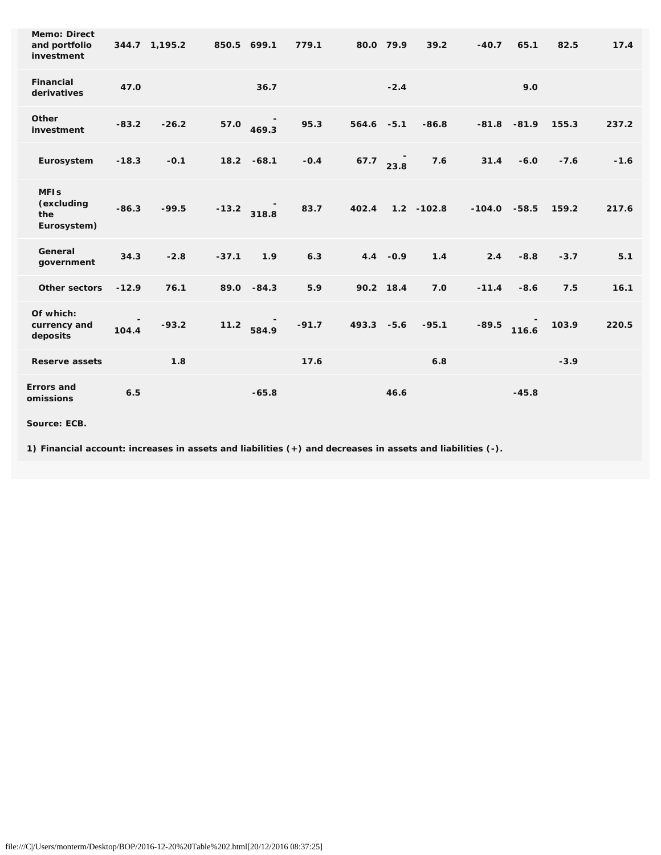| <b>Memo: Direct</b><br>and portfolio<br>investment |         | 344.7 1,195.2 | 850.5 699.1 | 779.1            |               | 80.0 79.9  | 39.2          | $-40.7$  | 65.1    | 82.5   | 17.4   |
|----------------------------------------------------|---------|---------------|-------------|------------------|---------------|------------|---------------|----------|---------|--------|--------|
| <b>Financial</b><br>derivatives                    | 47.0    |               |             | 36.7             |               | $-2.4$     |               |          | 9.0     |        |        |
| Other<br>investment                                | $-83.2$ | $-26.2$       | 57.0        | 95.3<br>469.3    | $564.6 - 5.1$ |            | $-86.8$       | $-81.8$  | $-81.9$ | 155.3  | 237.2  |
| Eurosystem                                         | $-18.3$ | $-0.1$        | 18.2 -68.1  | $-0.4$           | 67.7          | 23.8       | 7.6           | 31.4     | $-6.0$  | $-7.6$ | $-1.6$ |
| <b>MFIs</b><br>(excluding<br>the<br>Eurosystem)    | $-86.3$ | $-99.5$       | $-13.2$     | 83.7<br>318.8    | 402.4         |            | $1.2 - 102.8$ | $-104.0$ | $-58.5$ | 159.2  | 217.6  |
| General<br>government                              | 34.3    | $-2.8$        | $-37.1$     | 1.9<br>6.3       |               | $4.4 -0.9$ | 1.4           | 2.4      | $-8.8$  | $-3.7$ | 5.1    |
| <b>Other sectors</b>                               | $-12.9$ | 76.1          | 89.0 - 84.3 | 5.9              |               | 90.2 18.4  | 7.0           | $-11.4$  | $-8.6$  | 7.5    | 16.1   |
| Of which:<br>currency and<br>deposits              | 104.4   | $-93.2$       | $11.2$      | $-91.7$<br>584.9 | 493.3 -5.6    |            | $-95.1$       | $-89.5$  | 116.6   | 103.9  | 220.5  |
| <b>Reserve assets</b>                              |         | 1.8           |             | 17.6             |               |            | 6.8           |          |         | $-3.9$ |        |
| <b>Errors</b> and<br>omissions                     | 6.5     |               |             | $-65.8$          |               | 46.6       |               |          | $-45.8$ |        |        |

**Source: ECB.**

**1) Financial account: increases in assets and liabilities (+) and decreases in assets and liabilities (-).**